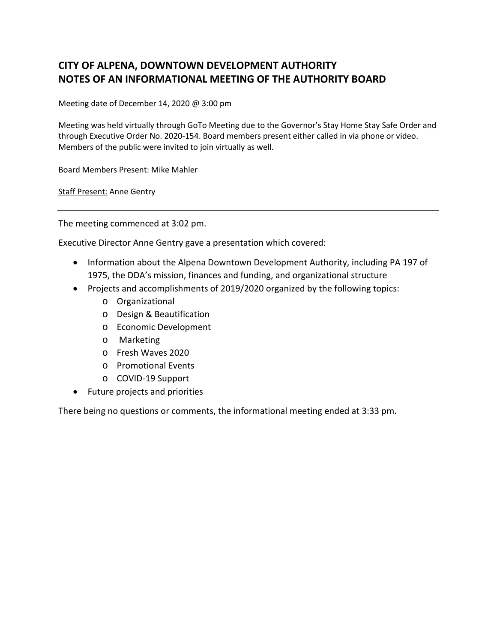## **CITY OF ALPENA, DOWNTOWN DEVELOPMENT AUTHORITY NOTES OF AN INFORMATIONAL MEETING OF THE AUTHORITY BOARD**

Meeting date of December 14, 2020 @ 3:00 pm

Meeting was held virtually through GoTo Meeting due to the Governor's Stay Home Stay Safe Order and through Executive Order No. 2020-154. Board members present either called in via phone or video. Members of the public were invited to join virtually as well.

Board Members Present: Mike Mahler

Staff Present: Anne Gentry

The meeting commenced at 3:02 pm.

Executive Director Anne Gentry gave a presentation which covered:

- Information about the Alpena Downtown Development Authority, including PA 197 of 1975, the DDA's mission, finances and funding, and organizational structure
- Projects and accomplishments of 2019/2020 organized by the following topics:
	- o Organizational
	- o Design & Beautification
	- o Economic Development
	- o Marketing
	- o Fresh Waves 2020
	- o Promotional Events
	- o COVID-19 Support
- Future projects and priorities

There being no questions or comments, the informational meeting ended at 3:33 pm.